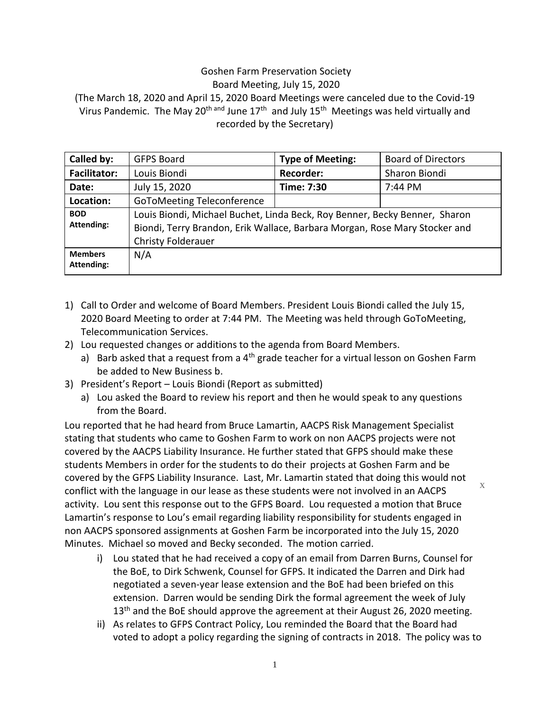## Goshen Farm Preservation Society

Board Meeting, July 15, 2020

(The March 18, 2020 and April 15, 2020 Board Meetings were canceled due to the Covid-19 Virus Pandemic. The May 20<sup>th and</sup> June 17<sup>th</sup> and July 15<sup>th</sup> Meetings was held virtually and recorded by the Secretary)

| Called by:                      | <b>GFPS Board</b>                                                                                                                                                                     | <b>Type of Meeting:</b> | <b>Board of Directors</b> |
|---------------------------------|---------------------------------------------------------------------------------------------------------------------------------------------------------------------------------------|-------------------------|---------------------------|
| <b>Facilitator:</b>             | Louis Biondi                                                                                                                                                                          | <b>Recorder:</b>        | Sharon Biondi             |
| Date:                           | July 15, 2020                                                                                                                                                                         | Time: 7:30              | 7:44 PM                   |
| Location:                       | <b>GoToMeeting Teleconference</b>                                                                                                                                                     |                         |                           |
| <b>BOD</b><br><b>Attending:</b> | Louis Biondi, Michael Buchet, Linda Beck, Roy Benner, Becky Benner, Sharon<br>Biondi, Terry Brandon, Erik Wallace, Barbara Morgan, Rose Mary Stocker and<br><b>Christy Folderauer</b> |                         |                           |
| <b>Members</b><br>Attending:    | N/A                                                                                                                                                                                   |                         |                           |

- 1) Call to Order and welcome of Board Members. President Louis Biondi called the July 15, 2020 Board Meeting to order at 7:44 PM. The Meeting was held through GoToMeeting, Telecommunication Services.
- 2) Lou requested changes or additions to the agenda from Board Members.
	- a) Barb asked that a request from a  $4<sup>th</sup>$  grade teacher for a virtual lesson on Goshen Farm be added to New Business b.
- 3) President's Report Louis Biondi (Report as submitted)
	- a) Lou asked the Board to review his report and then he would speak to any questions from the Board.

Lou reported that he had heard from Bruce Lamartin, AACPS Risk Management Specialist stating that students who came to Goshen Farm to work on non AACPS projects were not covered by the AACPS Liability Insurance. He further stated that GFPS should make these students Members in order for the students to do their projects at Goshen Farm and be covered by the GFPS Liability Insurance. Last, Mr. Lamartin stated that doing this would not conflict with the language in our lease as these students were not involved in an AACPS activity. Lou sent this response out to the GFPS Board. Lou requested a motion that Bruce Lamartin's response to Lou's email regarding liability responsibility for students engaged in non AACPS sponsored assignments at Goshen Farm be incorporated into the July 15, 2020 Minutes. Michael so moved and Becky seconded. The motion carried. x

- i) Lou stated that he had received a copy of an email from Darren Burns, Counsel for the BoE, to Dirk Schwenk, Counsel for GFPS. It indicated the Darren and Dirk had negotiated a seven-year lease extension and the BoE had been briefed on this extension. Darren would be sending Dirk the formal agreement the week of July  $13<sup>th</sup>$  and the BoE should approve the agreement at their August 26, 2020 meeting.
- ii) As relates to GFPS Contract Policy, Lou reminded the Board that the Board had voted to adopt a policy regarding the signing of contracts in 2018. The policy was to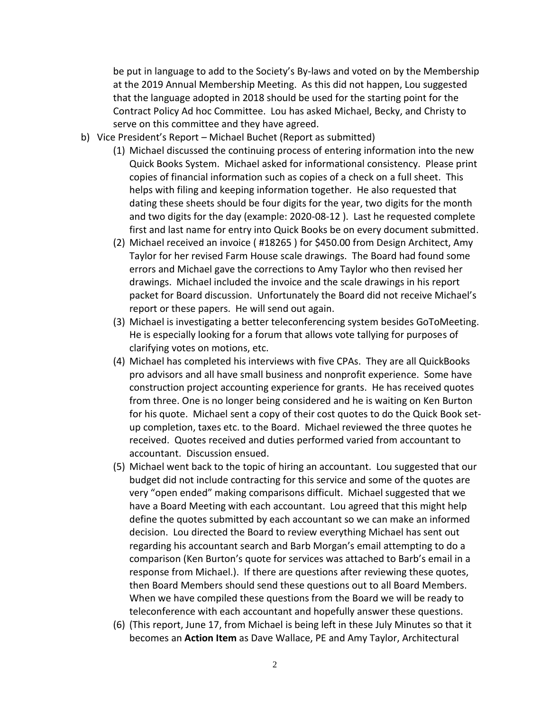be put in language to add to the Society's By-laws and voted on by the Membership at the 2019 Annual Membership Meeting. As this did not happen, Lou suggested that the language adopted in 2018 should be used for the starting point for the Contract Policy Ad hoc Committee. Lou has asked Michael, Becky, and Christy to serve on this committee and they have agreed.

- b) Vice President's Report Michael Buchet (Report as submitted)
	- (1) Michael discussed the continuing process of entering information into the new Quick Books System. Michael asked for informational consistency. Please print copies of financial information such as copies of a check on a full sheet. This helps with filing and keeping information together. He also requested that dating these sheets should be four digits for the year, two digits for the month and two digits for the day (example: 2020-08-12 ). Last he requested complete first and last name for entry into Quick Books be on every document submitted.
	- (2) Michael received an invoice ( #18265 ) for \$450.00 from Design Architect, Amy Taylor for her revised Farm House scale drawings. The Board had found some errors and Michael gave the corrections to Amy Taylor who then revised her drawings. Michael included the invoice and the scale drawings in his report packet for Board discussion. Unfortunately the Board did not receive Michael's report or these papers. He will send out again.
	- (3) Michael is investigating a better teleconferencing system besides GoToMeeting. He is especially looking for a forum that allows vote tallying for purposes of clarifying votes on motions, etc.
	- (4) Michael has completed his interviews with five CPAs. They are all QuickBooks pro advisors and all have small business and nonprofit experience. Some have construction project accounting experience for grants. He has received quotes from three. One is no longer being considered and he is waiting on Ken Burton for his quote. Michael sent a copy of their cost quotes to do the Quick Book setup completion, taxes etc. to the Board. Michael reviewed the three quotes he received. Quotes received and duties performed varied from accountant to accountant. Discussion ensued.
	- (5) Michael went back to the topic of hiring an accountant. Lou suggested that our budget did not include contracting for this service and some of the quotes are very "open ended" making comparisons difficult. Michael suggested that we have a Board Meeting with each accountant. Lou agreed that this might help define the quotes submitted by each accountant so we can make an informed decision. Lou directed the Board to review everything Michael has sent out regarding his accountant search and Barb Morgan's email attempting to do a comparison (Ken Burton's quote for services was attached to Barb's email in a response from Michael.). If there are questions after reviewing these quotes, then Board Members should send these questions out to all Board Members. When we have compiled these questions from the Board we will be ready to teleconference with each accountant and hopefully answer these questions.
	- (6) (This report, June 17, from Michael is being left in these July Minutes so that it becomes an **Action Item** as Dave Wallace, PE and Amy Taylor, Architectural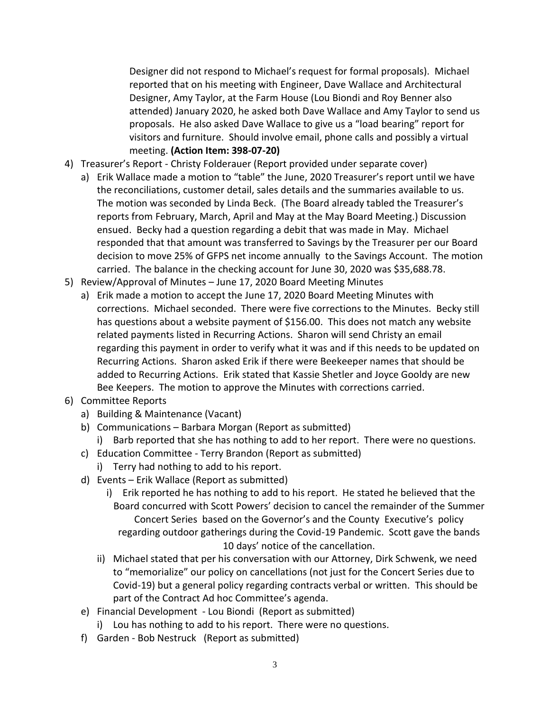Designer did not respond to Michael's request for formal proposals). Michael reported that on his meeting with Engineer, Dave Wallace and Architectural Designer, Amy Taylor, at the Farm House (Lou Biondi and Roy Benner also attended) January 2020, he asked both Dave Wallace and Amy Taylor to send us proposals. He also asked Dave Wallace to give us a "load bearing" report for visitors and furniture. Should involve email, phone calls and possibly a virtual meeting. **(Action Item: 398-07-20)**

- 4) Treasurer's Report Christy Folderauer (Report provided under separate cover)
	- a) Erik Wallace made a motion to "table" the June, 2020 Treasurer's report until we have the reconciliations, customer detail, sales details and the summaries available to us. The motion was seconded by Linda Beck. (The Board already tabled the Treasurer's reports from February, March, April and May at the May Board Meeting.) Discussion ensued. Becky had a question regarding a debit that was made in May. Michael responded that that amount was transferred to Savings by the Treasurer per our Board decision to move 25% of GFPS net income annually to the Savings Account. The motion carried. The balance in the checking account for June 30, 2020 was \$35,688.78.
- 5) Review/Approval of Minutes June 17, 2020 Board Meeting Minutes
	- a) Erik made a motion to accept the June 17, 2020 Board Meeting Minutes with corrections. Michael seconded. There were five corrections to the Minutes. Becky still has questions about a website payment of \$156.00. This does not match any website related payments listed in Recurring Actions. Sharon will send Christy an email regarding this payment in order to verify what it was and if this needs to be updated on Recurring Actions. Sharon asked Erik if there were Beekeeper names that should be added to Recurring Actions. Erik stated that Kassie Shetler and Joyce Gooldy are new Bee Keepers. The motion to approve the Minutes with corrections carried.
- 6) Committee Reports
	- a) Building & Maintenance (Vacant)
	- b) Communications Barbara Morgan (Report as submitted)
		- i) Barb reported that she has nothing to add to her report. There were no questions.
	- c) Education Committee Terry Brandon (Report as submitted)
		- i) Terry had nothing to add to his report.
	- d) Events Erik Wallace (Report as submitted)
		- i) Erik reported he has nothing to add to his report. He stated he believed that the Board concurred with Scott Powers' decision to cancel the remainder of the Summer Concert Series based on the Governor's and the County Executive's policy regarding outdoor gatherings during the Covid-19 Pandemic. Scott gave the bands 10 days' notice of the cancellation.
		- ii) Michael stated that per his conversation with our Attorney, Dirk Schwenk, we need to "memorialize" our policy on cancellations (not just for the Concert Series due to Covid-19) but a general policy regarding contracts verbal or written. This should be part of the Contract Ad hoc Committee's agenda.
	- e) Financial Development Lou Biondi (Report as submitted)
		- i) Lou has nothing to add to his report. There were no questions.
	- f) Garden Bob Nestruck (Report as submitted)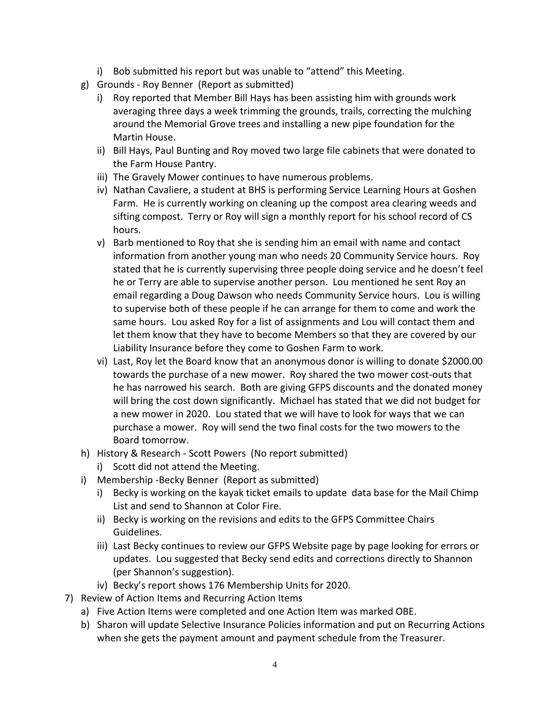- i) Bob submitted his report but was unable to "attend" this Meeting.
- g) Grounds Roy Benner (Report as submitted)
	- i) Roy reported that Member Bill Hays has been assisting him with grounds work averaging three days a week trimming the grounds, trails, correcting the mulching around the Memorial Grove trees and installing a new pipe foundation for the Martin House.
	- ii) Bill Hays, Paul Bunting and Roy moved two large file cabinets that were donated to the Farm House Pantry.
	- iii) The Gravely Mower continues to have numerous problems.
	- iv) Nathan Cavaliere, a student at BHS is performing Service Learning Hours at Goshen Farm. He is currently working on cleaning up the compost area clearing weeds and sifting compost. Terry or Roy will sign a monthly report for his school record of CS hours.
	- v) Barb mentioned to Roy that she is sending him an email with name and contact information from another young man who needs 20 Community Service hours. Roy stated that he is currently supervising three people doing service and he doesn't feel he or Terry are able to supervise another person. Lou mentioned he sent Roy an email regarding a Doug Dawson who needs Community Service hours. Lou is willing to supervise both of these people if he can arrange for them to come and work the same hours. Lou asked Roy for a list of assignments and Lou will contact them and let them know that they have to become Members so that they are covered by our Liability Insurance before they come to Goshen Farm to work.
	- vi) Last, Roy let the Board know that an anonymous donor is willing to donate \$2000.00 towards the purchase of a new mower. Roy shared the two mower cost-outs that he has narrowed his search. Both are giving GFPS discounts and the donated money will bring the cost down significantly. Michael has stated that we did not budget for a new mower in 2020. Lou stated that we will have to look for ways that we can purchase a mower. Roy will send the two final costs for the two mowers to the Board tomorrow.
- h) History & Research Scott Powers (No report submitted)
	- i) Scott did not attend the Meeting.
- i) Membership -Becky Benner (Report as submitted)
	- i) Becky is working on the kayak ticket emails to update data base for the Mail Chimp List and send to Shannon at Color Fire.
	- ii) Becky is working on the revisions and edits to the GFPS Committee Chairs Guidelines.
	- iii) Last Becky continues to review our GFPS Website page by page looking for errors or updates. Lou suggested that Becky send edits and corrections directly to Shannon (per Shannon's suggestion).
	- iv) Becky's report shows 176 Membership Units for 2020.
- 7) Review of Action Items and Recurring Action Items
	- a) Five Action Items were completed and one Action Item was marked OBE.
	- b) Sharon will update Selective Insurance Policies information and put on Recurring Actions when she gets the payment amount and payment schedule from the Treasurer.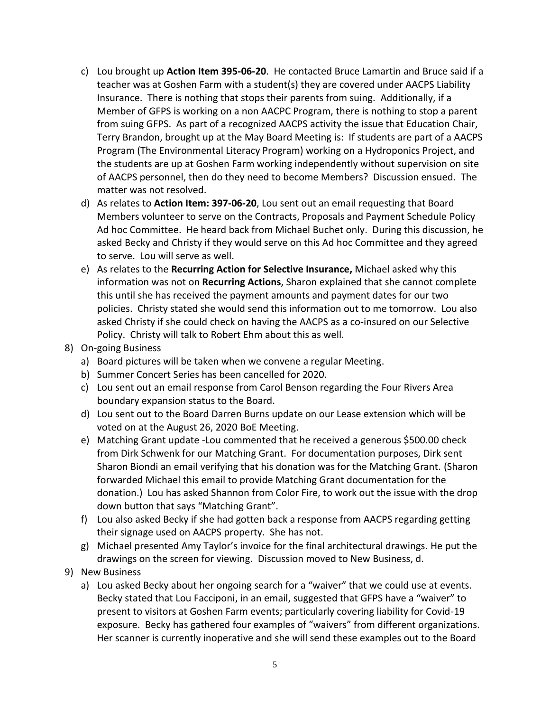- c) Lou brought up **Action Item 395-06-20**. He contacted Bruce Lamartin and Bruce said if a teacher was at Goshen Farm with a student(s) they are covered under AACPS Liability Insurance. There is nothing that stops their parents from suing. Additionally, if a Member of GFPS is working on a non AACPC Program, there is nothing to stop a parent from suing GFPS. As part of a recognized AACPS activity the issue that Education Chair, Terry Brandon, brought up at the May Board Meeting is: If students are part of a AACPS Program (The Environmental Literacy Program) working on a Hydroponics Project, and the students are up at Goshen Farm working independently without supervision on site of AACPS personnel, then do they need to become Members? Discussion ensued. The matter was not resolved.
- d) As relates to **Action Item: 397-06-20**, Lou sent out an email requesting that Board Members volunteer to serve on the Contracts, Proposals and Payment Schedule Policy Ad hoc Committee. He heard back from Michael Buchet only. During this discussion, he asked Becky and Christy if they would serve on this Ad hoc Committee and they agreed to serve. Lou will serve as well.
- e) As relates to the **Recurring Action for Selective Insurance,** Michael asked why this information was not on **Recurring Actions**, Sharon explained that she cannot complete this until she has received the payment amounts and payment dates for our two policies. Christy stated she would send this information out to me tomorrow. Lou also asked Christy if she could check on having the AACPS as a co-insured on our Selective Policy. Christy will talk to Robert Ehm about this as well.
- 8) On-going Business
	- a) Board pictures will be taken when we convene a regular Meeting.
	- b) Summer Concert Series has been cancelled for 2020.
	- c) Lou sent out an email response from Carol Benson regarding the Four Rivers Area boundary expansion status to the Board.
	- d) Lou sent out to the Board Darren Burns update on our Lease extension which will be voted on at the August 26, 2020 BoE Meeting.
	- e) Matching Grant update -Lou commented that he received a generous \$500.00 check from Dirk Schwenk for our Matching Grant. For documentation purposes, Dirk sent Sharon Biondi an email verifying that his donation was for the Matching Grant. (Sharon forwarded Michael this email to provide Matching Grant documentation for the donation.) Lou has asked Shannon from Color Fire, to work out the issue with the drop down button that says "Matching Grant".
	- f) Lou also asked Becky if she had gotten back a response from AACPS regarding getting their signage used on AACPS property. She has not.
	- g) Michael presented Amy Taylor's invoice for the final architectural drawings. He put the drawings on the screen for viewing. Discussion moved to New Business, d.
- 9) New Business
	- a) Lou asked Becky about her ongoing search for a "waiver" that we could use at events. Becky stated that Lou Facciponi, in an email, suggested that GFPS have a "waiver" to present to visitors at Goshen Farm events; particularly covering liability for Covid-19 exposure. Becky has gathered four examples of "waivers" from different organizations. Her scanner is currently inoperative and she will send these examples out to the Board